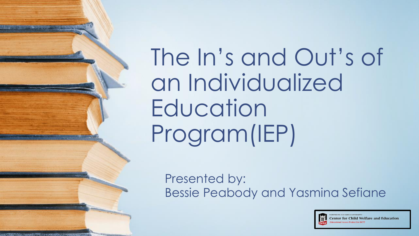The In's and Out's of an Individualized Education Program(IEP)

Presented by: Bessie Peabody and Yasmina Sefiane

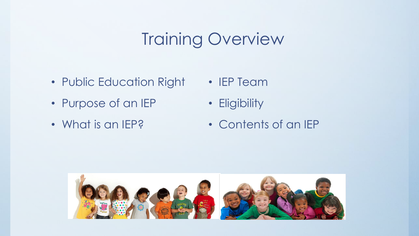## **Training Overview**

- Public Education Right
- Purpose of an IEP
- What is an IEP?
- IEP Team
- Eligibility
- Contents of an IEP



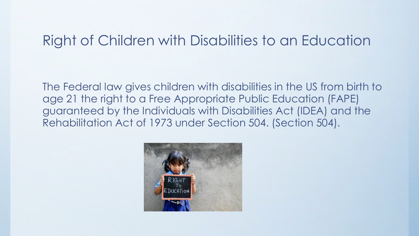## Right of Children with Disabilities to an Education

The Federal law gives children with disabilities in the US from birth to age 21 the right to a Free Appropriate Public Education (FAPE) guaranteed by the Individuals with Disabilities Act (IDEA) and the Rehabilitation Act of 1973 under Section 504. (Section 504).

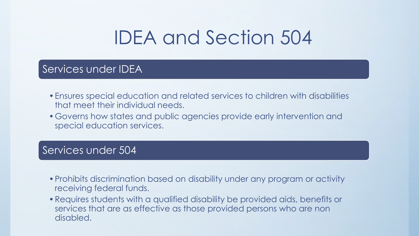# IDEA and Section 504

### Services under IDEA

- •Ensures special education and related services to children with disabilities that meet their individual needs.
- •Governs how states and public agencies provide early intervention and special education services.

### Services under 504

- •Prohibits discrimination based on disability under any program or activity receiving federal funds.
- •Requires students with a qualified disability be provided aids, benefits or services that are as effective as those provided persons who are non disabled.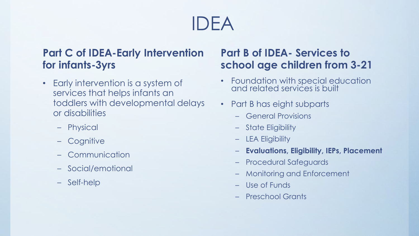# IDEA

### **Part C of IDEA-Early Intervention for infants-3yrs**

- Early intervention is a system of services that helps infants an toddlers with developmental delays or disabilities
	- Physical
	- Cognitive
	- Communication
	- Social/emotional
	- Self-help

### **Part B of IDEA- Services to school age children from 3-21**

- Foundation with special education and related services is built
- Part B has eight subparts
	- General Provisions
	- State Eligibility
	- LEA Eligibility
	- **Evaluations, Eligibility, IEPs, Placement**
	- Procedural Safeguards
	- Monitoring and Enforcement
	- Use of Funds
	- Preschool Grants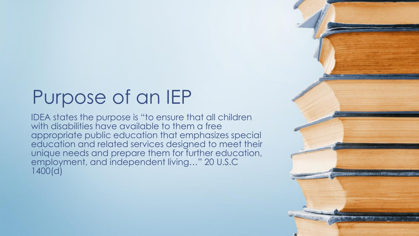# Purpose of an IEP

IDEA states the purpose is "to ensure that all children with disabilities have available to them a free appropriate public education that emphasizes special education and related services designed to meet their unique needs and prepare them for further education, employment, and independent living…" 20 U.S.C 1400(d)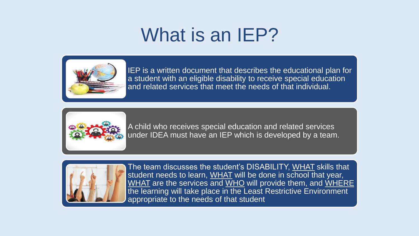# What is an IEP?



IEP is a written document that describes the educational plan for a student with an eligible disability to receive special education and related services that meet the needs of that individual.



A child who receives special education and related services under IDEA must have an IEP which is developed by a team.



The team discusses the student's DISABILITY, WHAT skills that student needs to learn, WHAT will be done in school that year, WHAT are the services and WHO will provide them, and WHERE the learning will take place in the Least Restrictive Environment appropriate to the needs of that student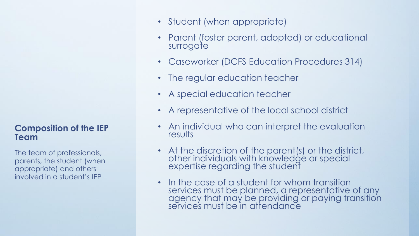#### **Composition of the IEP Team**

The team of professionals, parents, the student (when appropriate) and others involved in a student's IEP

- Student (when appropriate)
- Parent (foster parent, adopted) or educational surrogate
- Caseworker (DCFS Education Procedures 314)
- The regular education teacher
- A special education teacher
- A representative of the local school district
- An individual who can interpret the evaluation results
- At the discretion of the parent(s) or the district, other individuals with knowledge or special expertise regarding the student
- In the case of a student for whom transition services must be planned, a representative of any agency that may be providing or paying transition service's must be 'in attendance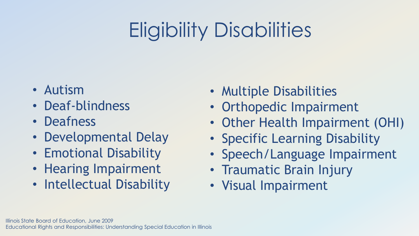# Eligibility Disabilities

- Autism
- Deaf-blindness
- Deafness
- Developmental Delay
- Emotional Disability
- Hearing Impairment
- Intellectual Disability
- Multiple Disabilities
- Orthopedic Impairment
- Other Health Impairment (OHI)
- Specific Learning Disability
- Speech/Language Impairment
- Traumatic Brain Injury
- Visual Impairment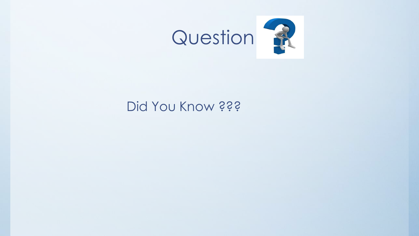

## Did You Know ???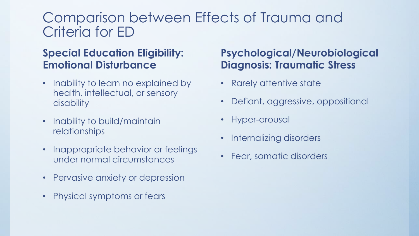## Comparison between Effects of Trauma and Criteria for ED

### **Special Education Eligibility: Emotional Disturbance**

- Inability to learn no explained by health, intellectual, or sensory disability
- Inability to build/maintain relationships
- Inappropriate behavior or feelings under normal circumstances
- Pervasive anxiety or depression
- Physical symptoms or fears

### **Psychological/Neurobiological Diagnosis: Traumatic Stress**

- Rarely attentive state
- Defiant, aggressive, oppositional
- Hyper-arousal
- Internalizing disorders
- Fear, somatic disorders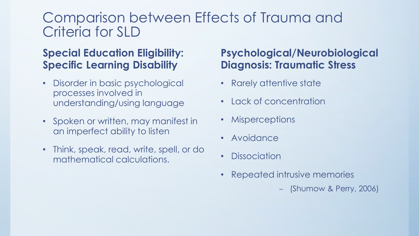## Comparison between Effects of Trauma and Criteria for SLD

### **Special Education Eligibility: Specific Learning Disability**

- Disorder in basic psychological processes involved in understanding/using language
- Spoken or written, may manifest in an imperfect ability to listen
- Think, speak, read, write, spell, or do mathematical calculations.

### **Psychological/Neurobiological Diagnosis: Traumatic Stress**

- Rarely attentive state
- Lack of concentration
- Misperceptions
- Avoidance
- Dissociation
- Repeated intrusive memories
	- (Shumow & Perry, 2006)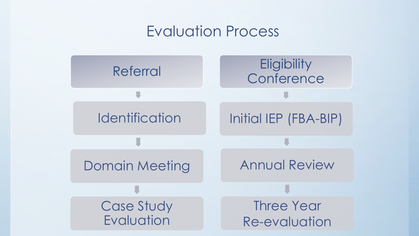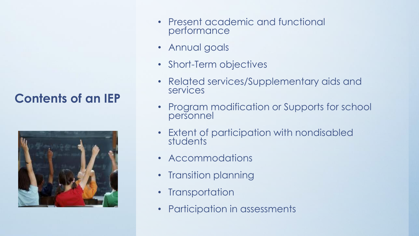### **Contents of an IEP**



- Present academic and functional performance
- Annual goals
- Short-Term objectives
- Related services/Supplementary aids and services
- Program modification or Supports for school personnel
- Extent of participation with nondisabled students
- Accommodations
- Transition planning
- Transportation
- Participation in assessments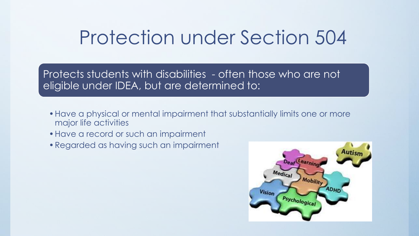## Protection under Section 504

Protects students with disabilities - often those who are not eligible under IDEA, but are determined to:

- •Have a physical or mental impairment that substantially limits one or more major life activities
- •Have a record or such an impairment
- •Regarded as having such an impairment

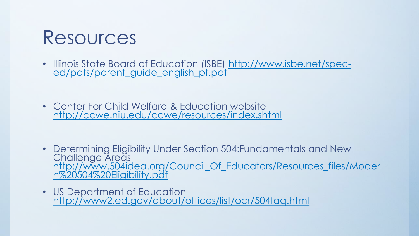

- [Illinois State Board of Education \(ISBE\) http://www.isbe.net/spec](http://www.isbe.net/spec-ed/pdfs/parent_guide_english_pf.pdf)ed/pdfs/parent\_guide\_english\_pf.pdf
- Center For Child Welfare & Education website <http://ccwe.niu.edu/ccwe/resources/index.shtml>

- Determining Eligibility Under Section 504:Fundamentals and New Challenge Areas [http://www.504idea.org/Council\\_Of\\_Educators/Resources\\_files/Moder](http://www.504idea.org/Council_Of_Educators/Resources_files/Modern 504 Eligibility.pdf) n%20504%20Eligibility.pdf
- US Department of Education <http://www2.ed.gov/about/offices/list/ocr/504faq.html>